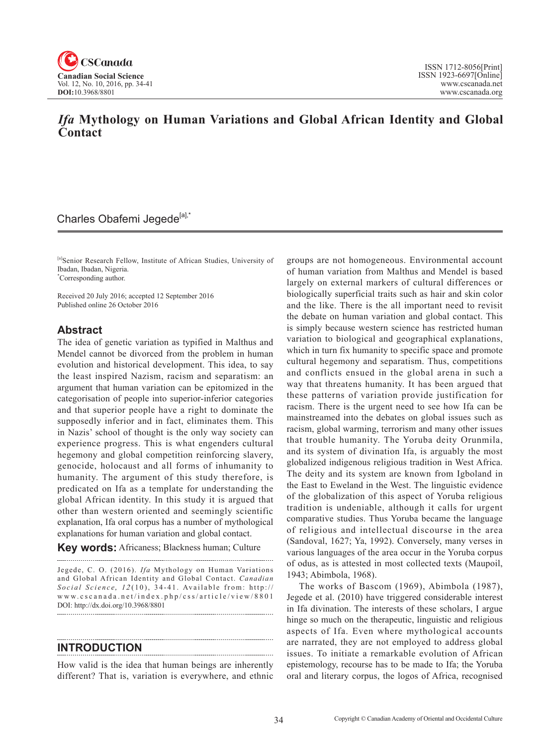

# *Ifa* **Mythology on Human Variations and Global African Identity and Global Contact**

# Charles Obafemi Jegede<sup>[a],\*</sup>

[a]Senior Research Fellow, Institute of African Studies, University of Ibadan, Ibadan, Nigeria. \* Corresponding author.

Received 20 July 2016; accepted 12 September 2016 Published online 26 October 2016

## **Abstract**

The idea of genetic variation as typified in Malthus and Mendel cannot be divorced from the problem in human evolution and historical development. This idea, to say the least inspired Nazism, racism and separatism: an argument that human variation can be epitomized in the categorisation of people into superior-inferior categories and that superior people have a right to dominate the supposedly inferior and in fact, eliminates them. This in Nazis' school of thought is the only way society can experience progress. This is what engenders cultural hegemony and global competition reinforcing slavery, genocide, holocaust and all forms of inhumanity to humanity. The argument of this study therefore, is predicated on Ifa as a template for understanding the global African identity. In this study it is argued that other than western oriented and seemingly scientific explanation, Ifa oral corpus has a number of mythological explanations for human variation and global contact.

**Key words:** Africaness; Blackness human; Culture

Jegede, C. O. (2016). *Ifa* Mythology on Human Variations and Global African Identity and Global Contact. *Canadian Social Science*, <sup>12</sup> (10), 34-41 . Available from: http:// www.cscanada.net/index.php/css/article/view/8801 DOI: http://dx.doi.org/10.3968/8801 

## **INTRODUCTION**

How valid is the idea that human beings are inherently different? That is, variation is everywhere, and ethnic groups are not homogeneous. Environmental account of human variation from Malthus and Mendel is based largely on external markers of cultural differences or biologically superficial traits such as hair and skin color and the like. There is the all important need to revisit the debate on human variation and global contact. This is simply because western science has restricted human variation to biological and geographical explanations, which in turn fix humanity to specific space and promote cultural hegemony and separatism. Thus, competitions and conflicts ensued in the global arena in such a way that threatens humanity. It has been argued that these patterns of variation provide justification for racism. There is the urgent need to see how Ifa can be mainstreamed into the debates on global issues such as racism, global warming, terrorism and many other issues that trouble humanity. The Yoruba deity Orunmila, and its system of divination Ifa, is arguably the most globalized indigenous religious tradition in West Africa. The deity and its system are known from Igboland in the East to Eweland in the West. The linguistic evidence of the globalization of this aspect of Yoruba religious tradition is undeniable, although it calls for urgent comparative studies. Thus Yoruba became the language of religious and intellectual discourse in the area (Sandoval, 1627; Ya, 1992). Conversely, many verses in various languages of the area occur in the Yoruba corpus of odus, as is attested in most collected texts (Maupoil, 1943; Abimbola, 1968).

The works of Bascom (1969), Abimbola (1987), Jegede et al. (2010) have triggered considerable interest in Ifa divination. The interests of these scholars, I argue hinge so much on the therapeutic, linguistic and religious aspects of Ifa. Even where mythological accounts are narrated, they are not employed to address global issues. To initiate a remarkable evolution of African epistemology, recourse has to be made to Ifa; the Yoruba oral and literary corpus, the logos of Africa, recognised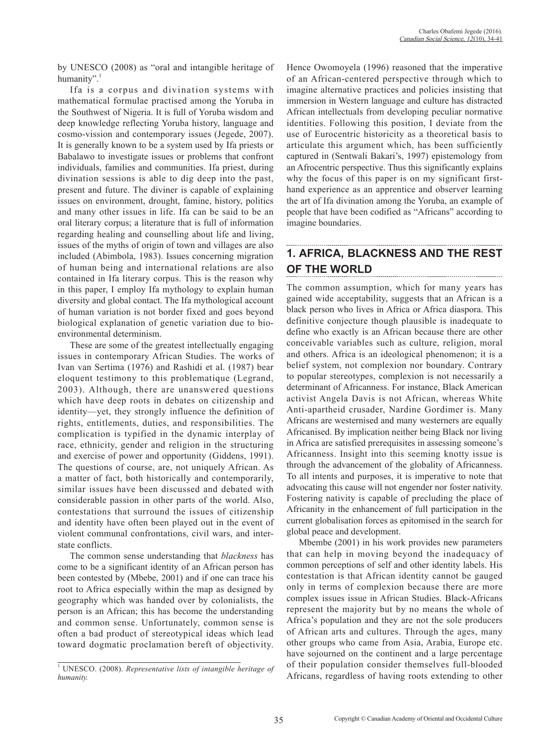by UNESCO (2008) as "oral and intangible heritage of humanity".<sup>1</sup>

Ifa is a corpus and divination systems with mathematical formulae practised among the Yoruba in the Southwest of Nigeria. It is full of Yoruba wisdom and deep knowledge reflecting Yoruba history, language and cosmo-vission and contemporary issues (Jegede, 2007). It is generally known to be a system used by Ifa priests or Babalawo to investigate issues or problems that confront individuals, families and communities. Ifa priest, during divination sessions is able to dig deep into the past, present and future. The diviner is capable of explaining issues on environment, drought, famine, history, politics and many other issues in life. Ifa can be said to be an oral literary corpus; a literature that is full of information regarding healing and counselling about life and living, issues of the myths of origin of town and villages are also included (Abimbola, 1983). Issues concerning migration of human being and international relations are also contained in Ifa literary corpus. This is the reason why in this paper, I employ Ifa mythology to explain human diversity and global contact. The Ifa mythological account of human variation is not border fixed and goes beyond biological explanation of genetic variation due to bioenvironmental determinism.

These are some of the greatest intellectually engaging issues in contemporary African Studies. The works of Ivan van Sertima (1976) and Rashidi et al. (1987) bear eloquent testimony to this problematique (Legrand, 2003). Although, there are unanswered questions which have deep roots in debates on citizenship and identity—yet, they strongly influence the definition of rights, entitlements, duties, and responsibilities. The complication is typified in the dynamic interplay of race, ethnicity, gender and religion in the structuring and exercise of power and opportunity (Giddens, 1991). The questions of course, are, not uniquely African. As a matter of fact, both historically and contemporarily, similar issues have been discussed and debated with considerable passion in other parts of the world. Also, contestations that surround the issues of citizenship and identity have often been played out in the event of violent communal confrontations, civil wars, and interstate conflicts.

The common sense understanding that *blackness* has come to be a significant identity of an African person has been contested by (Mbebe, 2001) and if one can trace his root to Africa especially within the map as designed by geography which was handed over by colonialists, the person is an African; this has become the understanding and common sense. Unfortunately, common sense is often a bad product of stereotypical ideas which lead toward dogmatic proclamation bereft of objectivity.

Hence Owomoyela (1996) reasoned that the imperative of an African-centered perspective through which to imagine alternative practices and policies insisting that immersion in Western language and culture has distracted African intellectuals from developing peculiar normative identities. Following this position, I deviate from the use of Eurocentric historicity as a theoretical basis to articulate this argument which, has been sufficiently captured in (Sentwali Bakari's, 1997) epistemology from an Afrocentric perspective. Thus this significantly explains why the focus of this paper is on my significant firsthand experience as an apprentice and observer learning the art of Ifa divination among the Yoruba, an example of people that have been codified as "Africans" according to imagine boundaries.

## **1. AFRICA, BLACKNESS AND THE REST OF THE WORLD**

The common assumption, which for many years has gained wide acceptability, suggests that an African is a black person who lives in Africa or Africa diaspora. This definitive conjecture though plausible is inadequate to define who exactly is an African because there are other conceivable variables such as culture, religion, moral and others. Africa is an ideological phenomenon; it is a belief system, not complexion nor boundary. Contrary to popular stereotypes, complexion is not necessarily a determinant of Africanness. For instance, Black American activist Angela Davis is not African, whereas White Anti-apartheid crusader, Nardine Gordimer is. Many Africans are westernised and many westerners are equally Africanised. By implication neither being Black nor living in Africa are satisfied prerequisites in assessing someone's Africanness. Insight into this seeming knotty issue is through the advancement of the globality of Africanness. To all intents and purposes, it is imperative to note that advocating this cause will not engender nor foster nativity. Fostering nativity is capable of precluding the place of Africanity in the enhancement of full participation in the current globalisation forces as epitomised in the search for global peace and development.

Mbembe (2001) in his work provides new parameters that can help in moving beyond the inadequacy of common perceptions of self and other identity labels. His contestation is that African identity cannot be gauged only in terms of complexion because there are more complex issues issue in African Studies. Black-Africans represent the majority but by no means the whole of Africa's population and they are not the sole producers of African arts and cultures. Through the ages, many other groups who came from Asia, Arabia, Europe etc. have sojourned on the continent and a large percentage of their population consider themselves full-blooded Africans, regardless of having roots extending to other

<sup>&</sup>lt;sup>1</sup> UNESCO. (2008). *Representative lists of intangible heritage of humanity.*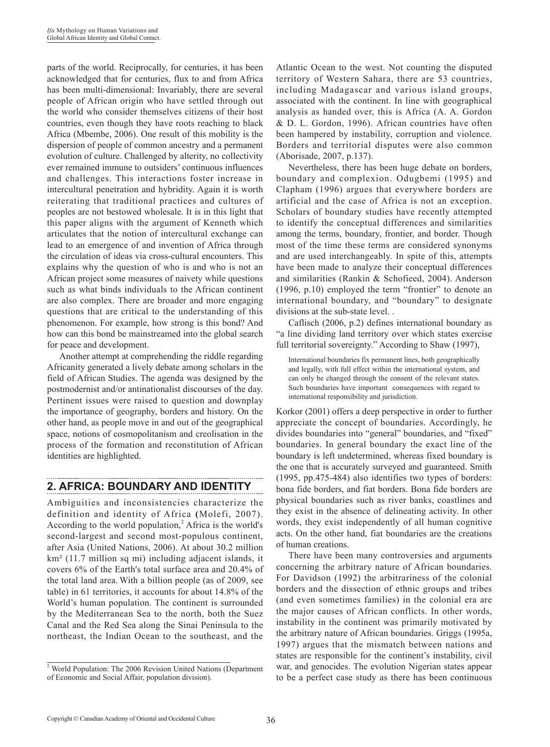parts of the world. Reciprocally, for centuries, it has been acknowledged that for centuries, flux to and from Africa has been multi-dimensional: Invariably, there are several people of African origin who have settled through out the world who consider themselves citizens of their host countries, even though they have roots reaching to black Africa (Mbembe, 2006). One result of this mobility is the dispersion of people of common ancestry and a permanent evolution of culture. Challenged by alterity, no collectivity ever remained immune to outsiders' continuous influences and challenges. This interactions foster increase in intercultural penetration and hybridity. Again it is worth reiterating that traditional practices and cultures of peoples are not bestowed wholesale. It is in this light that this paper aligns with the argument of Kenneth which articulates that the notion of intercultural exchange can lead to an emergence of and invention of Africa through the circulation of ideas via cross-cultural encounters. This explains why the question of who is and who is not an African project some measures of naivety while questions such as what binds individuals to the African continent are also complex. There are broader and more engaging questions that are critical to the understanding of this phenomenon. For example, how strong is this bond? And how can this bond be mainstreamed into the global search for peace and development.

Another attempt at comprehending the riddle regarding Africanity generated a lively debate among scholars in the field of African Studies. The agenda was designed by the postmodernist and/or antinationalist discourses of the day. Pertinent issues were raised to question and downplay the importance of geography, borders and history. On the other hand, as people move in and out of the geographical space, notions of cosmopolitanism and creolisation in the process of the formation and reconstitution of African identities are highlighted.

## **2. AFRICA: BOUNDARY AND IDENTITY**

Ambiguities and inconsistencies characterize the definition and identity of Africa **(**Molefi, 2007). According to the world population, $<sup>2</sup>$  Africa is the world's</sup> second-largest and second most-populous continent, after Asia (United Nations, 2006). At about 30.2 million km² (11.7 million sq mi) including adjacent islands, it covers 6% of the Earth's total surface area and 20.4% of the total land area. With a billion people (as of 2009, see table) in 61 territories, it accounts for about 14.8% of the World's human population. The continent is surrounded by the Mediterranean Sea to the north, both the Suez Canal and the Red Sea along the Sinai Peninsula to the northeast, the Indian Ocean to the southeast, and the

Atlantic Ocean to the west. Not counting the disputed territory of Western Sahara, there are 53 countries, including Madagascar and various island groups, associated with the continent. In line with geographical analysis as handed over, this is Africa (A. A. Gordon & D. L. Gordon, 1996). African countries have often been hampered by instability, corruption and violence. Borders and territorial disputes were also common (Aborisade, 2007, p.137).

Nevertheless, there has been huge debate on borders, boundary and complexion. Odugbemi (1995) and Clapham (1996) argues that everywhere borders are artificial and the case of Africa is not an exception. Scholars of boundary studies have recently attempted to identify the conceptual differences and similarities among the terms, boundary, frontier, and border. Though most of the time these terms are considered synonyms and are used interchangeably. In spite of this, attempts have been made to analyze their conceptual differences and similarities (Rankin & Schofieed, 2004). Anderson (1996, p.10) employed the term "frontier" to denote an international boundary, and "boundary" to designate divisions at the sub-state level. .

Caflisch (2006, p.2) defines international boundary as "a line dividing land territory over which states exercise full territorial sovereignty." According to Shaw (1997),

International boundaries fix permanent lines, both geographically and legally, with full effect within the international system, and can only be changed through the consent of the relevant states. Such boundaries have important consequences with regard to international responsibility and jurisdiction.

Korkor (2001) offers a deep perspective in order to further appreciate the concept of boundaries. Accordingly, he divides boundaries into "general" boundaries, and "fixed" boundaries. In general boundary the exact line of the boundary is left undetermined, whereas fixed boundary is the one that is accurately surveyed and guaranteed. Smith (1995, pp.475-484) also identifies two types of borders: bona fide borders, and fiat borders. Bona fide borders are physical boundaries such as river banks, coastlines and they exist in the absence of delineating activity. In other words, they exist independently of all human cognitive acts. On the other hand, fiat boundaries are the creations of human creations.

There have been many controversies and arguments concerning the arbitrary nature of African boundaries. For Davidson (1992) the arbitrariness of the colonial borders and the dissection of ethnic groups and tribes (and even sometimes families) in the colonial era are the major causes of African conflicts. In other words, instability in the continent was primarily motivated by the arbitrary nature of African boundaries. Griggs (1995a, 1997) argues that the mismatch between nations and states are responsible for the continent's instability, civil war, and genocides. The evolution Nigerian states appear to be a perfect case study as there has been continuous

<sup>&</sup>lt;sup>2</sup> World Population: The 2006 Revision United Nations (Department of Economic and Social Affair, population division).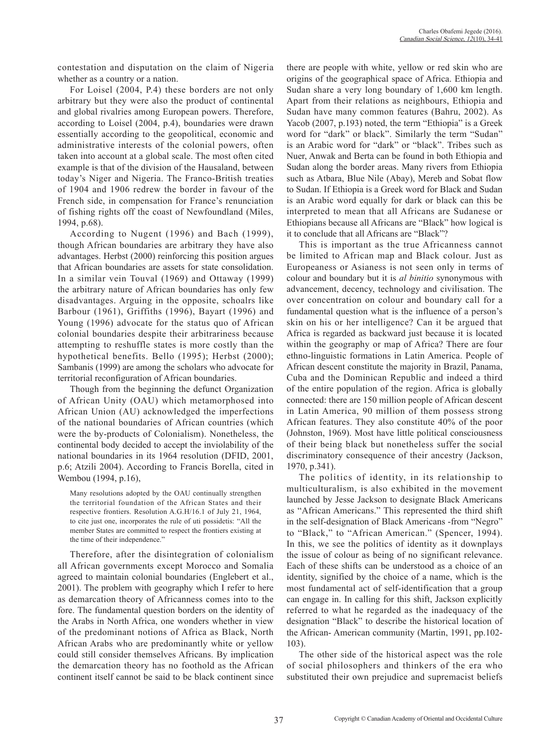contestation and disputation on the claim of Nigeria whether as a country or a nation.

For Loisel (2004, P.4) these borders are not only arbitrary but they were also the product of continental and global rivalries among European powers. Therefore, according to Loisel (2004, p.4), boundaries were drawn essentially according to the geopolitical, economic and administrative interests of the colonial powers, often taken into account at a global scale. The most often cited example is that of the division of the Hausaland, between today's Niger and Nigeria. The Franco-British treaties of 1904 and 1906 redrew the border in favour of the French side, in compensation for France's renunciation of fishing rights off the coast of Newfoundland (Miles, 1994, p.68).

According to Nugent (1996) and Bach (1999), though African boundaries are arbitrary they have also advantages. Herbst (2000) reinforcing this position argues that African boundaries are assets for state consolidation. In a similar vein Touval (1969) and Ottaway (1999) the arbitrary nature of African boundaries has only few disadvantages. Arguing in the opposite, schoalrs like Barbour (1961), Griffiths (1996), Bayart (1996) and Young (1996) advocate for the status quo of African colonial boundaries despite their arbitrariness because attempting to reshuffle states is more costly than the hypothetical benefits. Bello (1995); Herbst (2000); Sambanis (1999) are among the scholars who advocate for territorial reconfiguration of African boundaries.

Though from the beginning the defunct Organization of African Unity (OAU) which metamorphosed into African Union (AU) acknowledged the imperfections of the national boundaries of African countries (which were the by-products of Colonialism). Nonetheless, the continental body decided to accept the inviolability of the national boundaries in its 1964 resolution (DFID, 2001, p.6; Atzili 2004). According to Francis Borella, cited in Wembou (1994, p.16),

Many resolutions adopted by the OAU continually strengthen the territorial foundation of the African States and their respective frontiers. Resolution A.G.H/16.1 of July 21, 1964, to cite just one, incorporates the rule of uti possidetis: "All the member States are committed to respect the frontiers existing at the time of their independence."

Therefore, after the disintegration of colonialism all African governments except Morocco and Somalia agreed to maintain colonial boundaries (Englebert et al., 2001). The problem with geography which I refer to here as demarcation theory of Africanness comes into to the fore. The fundamental question borders on the identity of the Arabs in North Africa, one wonders whether in view of the predominant notions of Africa as Black, North African Arabs who are predominantly white or yellow could still consider themselves Africans. By implication the demarcation theory has no foothold as the African continent itself cannot be said to be black continent since there are people with white, yellow or red skin who are origins of the geographical space of Africa. Ethiopia and Sudan share a very long boundary of 1,600 km length. Apart from their relations as neighbours, Ethiopia and Sudan have many common features (Bahru, 2002). As Yacob (2007, p.193) noted, the term "Ethiopia" is a Greek word for "dark" or black". Similarly the term "Sudan" is an Arabic word for "dark" or "black". Tribes such as Nuer, Anwak and Berta can be found in both Ethiopia and Sudan along the border areas. Many rivers from Ethiopia such as Atbara, Blue Nile (Abay), Mereb and Sobat flow to Sudan. If Ethiopia is a Greek word for Black and Sudan is an Arabic word equally for dark or black can this be interpreted to mean that all Africans are Sudanese or Ethiopians because all Africans are "Black" how logical is it to conclude that all Africans are "Black"?

This is important as the true Africanness cannot be limited to African map and Black colour. Just as Europeaness or Asianess is not seen only in terms of colour and boundary but it is *al binitio* synonymous with advancement, decency, technology and civilisation. The over concentration on colour and boundary call for a fundamental question what is the influence of a person's skin on his or her intelligence? Can it be argued that Africa is regarded as backward just because it is located within the geography or map of Africa? There are four ethno-linguistic formations in Latin America. People of African descent constitute the majority in Brazil, Panama, Cuba and the Dominican Republic and indeed a third of the entire population of the region. Africa is globally connected: there are 150 million people of African descent in Latin America, 90 million of them possess strong African features. They also constitute 40% of the poor (Johnston, 1969). Most have little political consciousness of their being black but nonetheless suffer the social discriminatory consequence of their ancestry (Jackson, 1970, p.341).

The politics of identity, in its relationship to multiculturalism, is also exhibited in the movement launched by Jesse Jackson to designate Black Americans as "African Americans." This represented the third shift in the self-designation of Black Americans -from "Negro" to "Black," to "African American." (Spencer, 1994). In this, we see the politics of identity as it downplays the issue of colour as being of no significant relevance. Each of these shifts can be understood as a choice of an identity, signified by the choice of a name, which is the most fundamental act of self-identification that a group can engage in. In calling for this shift, Jackson explicitly referred to what he regarded as the inadequacy of the designation "Black" to describe the historical location of the African- American community (Martin, 1991, pp.102- 103).

The other side of the historical aspect was the role of social philosophers and thinkers of the era who substituted their own prejudice and supremacist beliefs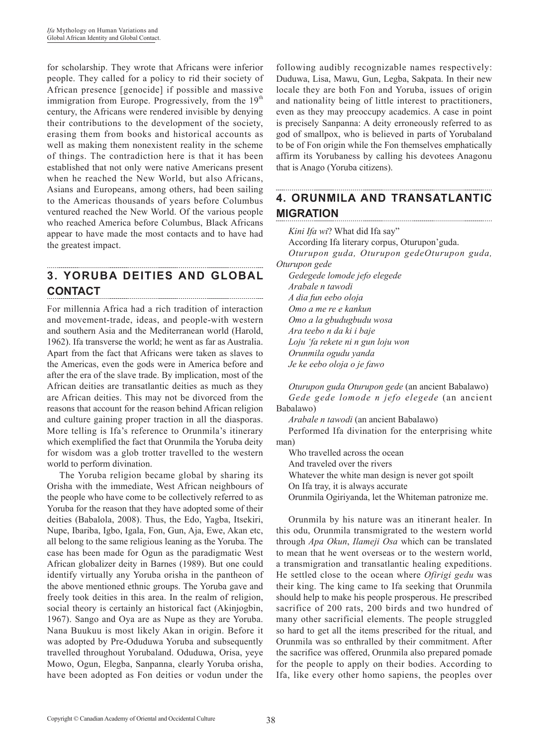for scholarship. They wrote that Africans were inferior people. They called for a policy to rid their society of African presence [genocide] if possible and massive immigration from Europe. Progressively, from the  $19<sup>th</sup>$ century, the Africans were rendered invisible by denying their contributions to the development of the society, erasing them from books and historical accounts as well as making them nonexistent reality in the scheme of things. The contradiction here is that it has been established that not only were native Americans present when he reached the New World, but also Africans, Asians and Europeans, among others, had been sailing to the Americas thousands of years before Columbus ventured reached the New World. Of the various people who reached America before Columbus, Black Africans appear to have made the most contacts and to have had the greatest impact.

#### **3. YORUBA DEITIES AND GLOBAL CONTACT**

For millennia Africa had a rich tradition of interaction and movement-trade, ideas, and people-with western and southern Asia and the Mediterranean world (Harold, 1962). Ifa transverse the world; he went as far as Australia. Apart from the fact that Africans were taken as slaves to the Americas, even the gods were in America before and after the era of the slave trade. By implication, most of the African deities are transatlantic deities as much as they are African deities. This may not be divorced from the reasons that account for the reason behind African religion and culture gaining proper traction in all the diasporas. More telling is Ifa's reference to Orunmila's itinerary which exemplified the fact that Orunmila the Yoruba deity for wisdom was a glob trotter travelled to the western world to perform divination.

The Yoruba religion became global by sharing its Orisha with the immediate, West African neighbours of the people who have come to be collectively referred to as Yoruba for the reason that they have adopted some of their deities (Babalola, 2008). Thus, the Edo, Yagba, Itsekiri, Nupe, Ibariba, Igbo, Igala, Fon, Gun, Aja, Ewe, Akan etc, all belong to the same religious leaning as the Yoruba. The case has been made for Ogun as the paradigmatic West African globalizer deity in Barnes (1989). But one could identify virtually any Yoruba orisha in the pantheon of the above mentioned ethnic groups. The Yoruba gave and freely took deities in this area. In the realm of religion, social theory is certainly an historical fact (Akinjogbin, 1967). Sango and Oya are as Nupe as they are Yoruba. Nana Buukuu is most likely Akan in origin. Before it was adopted by Pre-Oduduwa Yoruba and subsequently travelled throughout Yorubaland. Oduduwa, Orisa, yeye Mowo, Ogun, Elegba, Sanpanna, clearly Yoruba orisha, have been adopted as Fon deities or vodun under the

following audibly recognizable names respectively: Duduwa, Lisa, Mawu, Gun, Legba, Sakpata. In their new locale they are both Fon and Yoruba, issues of origin and nationality being of little interest to practitioners, even as they may preoccupy academics. A case in point is precisely Sanpanna: A deity erroneously referred to as god of smallpox, who is believed in parts of Yorubaland to be of Fon origin while the Fon themselves emphatically affirm its Yorubaness by calling his devotees Anagonu that is Anago (Yoruba citizens).

### **4. ORUNMILA AND TRANSATLANTIC MIGRATION**

*Kini Ifa wi*? What did Ifa say" According Ifa literary corpus, Oturupon'guda. *Oturupon guda, Oturupon gedeOturupon guda, Oturupon gede*

*Gedegede lomode jefo elegede Arabale n tawodi A dia fun eebo oloja Omo a me re e kankun Omo a la gbudugbudu wosa Ara teebo n da ki i baje Loju 'fa rekete ni n gun loju won Orunmila ogudu yanda Je ke eebo oloja o je fawo* 

*Oturupon guda Oturupon gede* (an ancient Babalawo) *Gede gede lomode n jefo elegede* (an ancient Babalawo)

*Arabale n tawodi* (an ancient Babalawo)

Performed Ifa divination for the enterprising white man)

Who travelled across the ocean And traveled over the rivers Whatever the white man design is never got spoilt On Ifa tray, it is always accurate Orunmila Ogiriyanda, let the Whiteman patronize me.

Orunmila by his nature was an itinerant healer. In this odu, Orunmila transmigrated to the western world through *Apa Okun*, *Ilameji Osa* which can be translated to mean that he went overseas or to the western world, a transmigration and transatlantic healing expeditions. He settled close to the ocean where *Ofirigi gedu* was their king. The king came to Ifa seeking that Orunmila should help to make his people prosperous. He prescribed sacrifice of 200 rats, 200 birds and two hundred of many other sacrificial elements. The people struggled so hard to get all the items prescribed for the ritual, and Orunmila was so enthralled by their commitment. After the sacrifice was offered, Orunmila also prepared pomade for the people to apply on their bodies. According to Ifa, like every other homo sapiens, the peoples over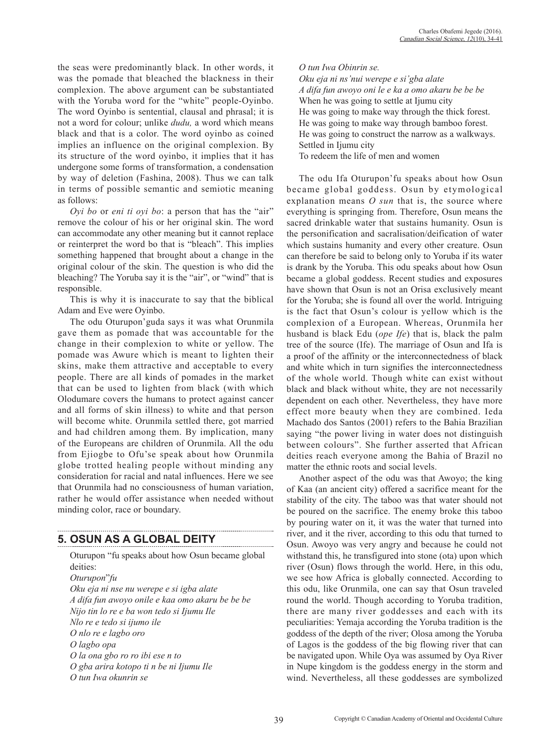the seas were predominantly black. In other words, it was the pomade that bleached the blackness in their complexion. The above argument can be substantiated with the Yoruba word for the "white" people-Oyinbo. The word Oyinbo is sentential, clausal and phrasal; it is not a word for colour; unlike *dudu,* a word which means black and that is a color. The word oyinbo as coined implies an influence on the original complexion. By its structure of the word oyinbo, it implies that it has undergone some forms of transformation, a condensation by way of deletion (Fashina, 2008). Thus we can talk in terms of possible semantic and semiotic meaning as follows:

*Oyi bo* or *eni ti oyi bo*: a person that has the "air" remove the colour of his or her original skin. The word can accommodate any other meaning but it cannot replace or reinterpret the word bo that is "bleach". This implies something happened that brought about a change in the original colour of the skin. The question is who did the bleaching? The Yoruba say it is the "air", or "wind" that is responsible.

This is why it is inaccurate to say that the biblical Adam and Eve were Oyinbo.

The odu Oturupon'guda says it was what Orunmila gave them as pomade that was accountable for the change in their complexion to white or yellow. The pomade was Awure which is meant to lighten their skins, make them attractive and acceptable to every people. There are all kinds of pomades in the market that can be used to lighten from black (with which Olodumare covers the humans to protect against cancer and all forms of skin illness) to white and that person will become white. Orunmila settled there, got married and had children among them. By implication, many of the Europeans are children of Orunmila. All the odu from Ejiogbe to Ofu'se speak about how Orunmila globe trotted healing people without minding any consideration for racial and natal influences. Here we see that Orunmila had no consciousness of human variation, rather he would offer assistance when needed without minding color, race or boundary.

# **5. OSUN AS A GLOBAL DEITY**

Oturupon "fu speaks about how Osun became global deities: *Oturupon*"*fu Oku eja ni nse nu werepe e si igba alate A difa fun awoyo onile e kaa omo akaru be be be Nijo tin lo re e ba won tedo si Ijumu Ile Nlo re e tedo si ijumo ile O nlo re e lagbo oro O lagbo opa O la ona gbo ro ro ibi ese n to O gba arira kotopo ti n be ni Ijumu Ile O tun Iwa okunrin se*

### *O tun Iwa Obinrin se.*

*Oku eja ni ns'nui werepe e si'gba alate A difa fun awoyo oni le e ka a omo akaru be be be* When he was going to settle at Ijumu city He was going to make way through the thick forest. He was going to make way through bamboo forest. He was going to construct the narrow as a walkways. Settled in Ijumu city To redeem the life of men and women

The odu Ifa Oturupon'fu speaks about how Osun became global goddess. Osun by etymological explanation means *O sun* that is, the source where everything is springing from. Therefore, Osun means the sacred drinkable water that sustains humanity. Osun is the personification and sacralisation/deification of water which sustains humanity and every other creature. Osun can therefore be said to belong only to Yoruba if its water is drank by the Yoruba. This odu speaks about how Osun became a global goddess. Recent studies and exposures have shown that Osun is not an Orisa exclusively meant for the Yoruba; she is found all over the world. Intriguing is the fact that Osun's colour is yellow which is the complexion of a European. Whereas, Orunmila her husband is black Edu (*ope Ife*) that is, black the palm tree of the source (Ife). The marriage of Osun and Ifa is a proof of the affinity or the interconnectedness of black and white which in turn signifies the interconnectedness of the whole world. Though white can exist without black and black without white, they are not necessarily dependent on each other. Nevertheless, they have more effect more beauty when they are combined. Ieda Machado dos Santos (2001) refers to the Bahia Brazilian saying "the power living in water does not distinguish between colours". She further asserted that African deities reach everyone among the Bahia of Brazil no matter the ethnic roots and social levels.

Another aspect of the odu was that Awoyo; the king of Kaa (an ancient city) offered a sacrifice meant for the stability of the city. The taboo was that water should not be poured on the sacrifice. The enemy broke this taboo by pouring water on it, it was the water that turned into river, and it the river, according to this odu that turned to Osun. Awoyo was very angry and because he could not withstand this, he transfigured into stone (ota) upon which river (Osun) flows through the world. Here, in this odu, we see how Africa is globally connected. According to this odu, like Orunmila, one can say that Osun traveled round the world. Though according to Yoruba tradition, there are many river goddesses and each with its peculiarities: Yemaja according the Yoruba tradition is the goddess of the depth of the river; Olosa among the Yoruba of Lagos is the goddess of the big flowing river that can be navigated upon. While Oya was assumed by Oya River in Nupe kingdom is the goddess energy in the storm and wind. Nevertheless, all these goddesses are symbolized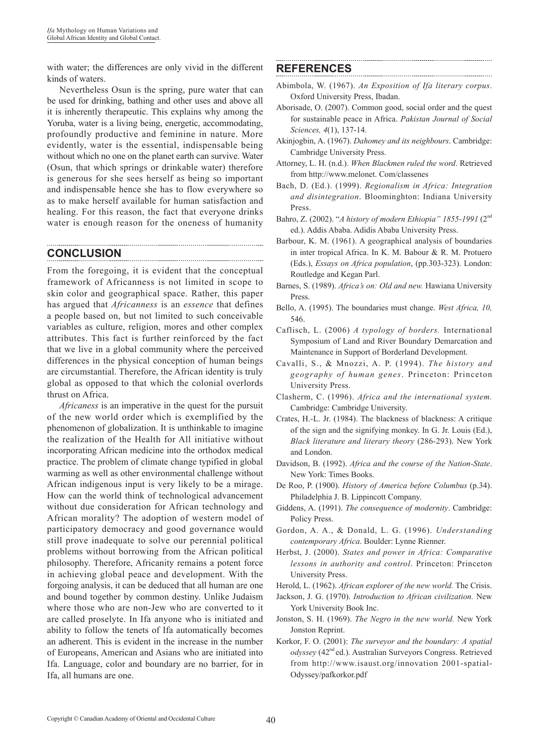with water; the differences are only vivid in the different kinds of waters.

Nevertheless Osun is the spring, pure water that can be used for drinking, bathing and other uses and above all it is inherently therapeutic. This explains why among the Yoruba, water is a living being, energetic, accommodating, profoundly productive and feminine in nature. More evidently, water is the essential, indispensable being without which no one on the planet earth can survive. Water (Osun, that which springs or drinkable water) therefore is generous for she sees herself as being so important and indispensable hence she has to flow everywhere so as to make herself available for human satisfaction and healing. For this reason, the fact that everyone drinks water is enough reason for the oneness of humanity

# **CONCLUSION**

From the foregoing, it is evident that the conceptual framework of Africanness is not limited in scope to skin color and geographical space. Rather, this paper has argued that *Africanness* is an *essence* that defines a people based on, but not limited to such conceivable variables as culture, religion, mores and other complex attributes. This fact is further reinforced by the fact that we live in a global community where the perceived differences in the physical conception of human beings are circumstantial. Therefore, the African identity is truly global as opposed to that which the colonial overlords thrust on Africa.

*Africaness* is an imperative in the quest for the pursuit of the new world order which is exemplified by the phenomenon of globalization. It is unthinkable to imagine the realization of the Health for All initiative without incorporating African medicine into the orthodox medical practice. The problem of climate change typified in global warming as well as other environmental challenge without African indigenous input is very likely to be a mirage. How can the world think of technological advancement without due consideration for African technology and African morality? The adoption of western model of participatory democracy and good governance would still prove inadequate to solve our perennial political problems without borrowing from the African political philosophy. Therefore, Africanity remains a potent force in achieving global peace and development. With the forgoing analysis, it can be deduced that all human are one and bound together by common destiny. Unlike Judaism where those who are non-Jew who are converted to it are called proselyte. In Ifa anyone who is initiated and ability to follow the tenets of Ifa automatically becomes an adherent. This is evident in the increase in the number of Europeans, American and Asians who are initiated into Ifa. Language, color and boundary are no barrier, for in Ifa, all humans are one.

## **REFERENCES**

Abimbola, W. (1967). *An Exposition of Ifa literary corpus*. Oxford University Press, Ibadan.

- Aborisade, O. (2007). Common good, social order and the quest for sustainable peace in Africa. *Pakistan Journal of Social Sciences, 4*(1), 137-14.
- Akinjogbin, A. (1967). *Dahomey and its neighbours*. Cambridge: Cambridge University Press.
- Attorney, L. H. (n.d.). *When Blackmen ruled the word*. Retrieved from http://www.melonet. Com/classenes
- Bach, D. (Ed.). (1999). *Regionalism in Africa: Integration and disintegration*. Bloominghton: Indiana University Press.
- Bahro, Z. (2002). "*A history of modern Ethiopia" 1855-1991* (2nd ed.). Addis Ababa. Adidis Ababa University Press.
- Barbour, K. M. (1961). A geographical analysis of boundaries in inter tropical Africa. In K. M. Babour & R. M. Protuero (Eds.), *Essays on Africa population*, (pp.303-323). London: Routledge and Kegan Parl.
- Barnes, S. (1989). *Africa's on: Old and new.* Hawiana University Press.
- Bello, A. (1995). The boundaries must change. *West Africa, 10,*  546.
- Caflisch, L. (2006) *A typology of borders.* International Symposium of Land and River Boundary Demarcation and Maintenance in Support of Borderland Development.
- Cavalli, S., & Mnozzi, A. P. (1994). *The history and geography of human genes*. Princeton: Princeton University Press.
- Clasherm, C. (1996). *Africa and the international system.*  Cambridge: Cambridge University.
- Crates, H.-L. Jr. (1984). The blackness of blackness: A critique of the sign and the signifying monkey. In G. Jr. Louis (Ed.), *Black literature and literary theory* (286-293). New York and London.
- Davidson, B. (1992). *Africa and the course of the Nation-State*. New York: Times Books.
- De Roo, P. (1900). *History of America before Columbus* (p.34). Philadelphia J. B. Lippincott Company.
- Giddens, A. (1991). *The consequence of modernity*. Cambridge: Policy Press.
- Gordon, A. A., & Donald, L. G. (1996). *Understanding contemporary Africa*. Boulder: Lynne Rienner.
- Herbst, J. (2000). *States and power in Africa: Comparative lessons in authority and control*. Princeton: Princeton University Press.
- Herold, L. (1962). *African explorer of the new world.* The Crisis.
- Jackson, J. G. (1970). *Introduction to African civilization.* New York University Book Inc.
- Jonston, S. H. (1969). *The Negro in the new world.* New York Jonston Reprint.
- Korkor, F. O. (2001): *The surveyor and the boundary: A spatial odyssey* (42nd ed.). Australian Surveyors Congress. Retrieved from http://www.isaust.org/innovation 2001-spatial-Odyssey/pafkorkor.pdf